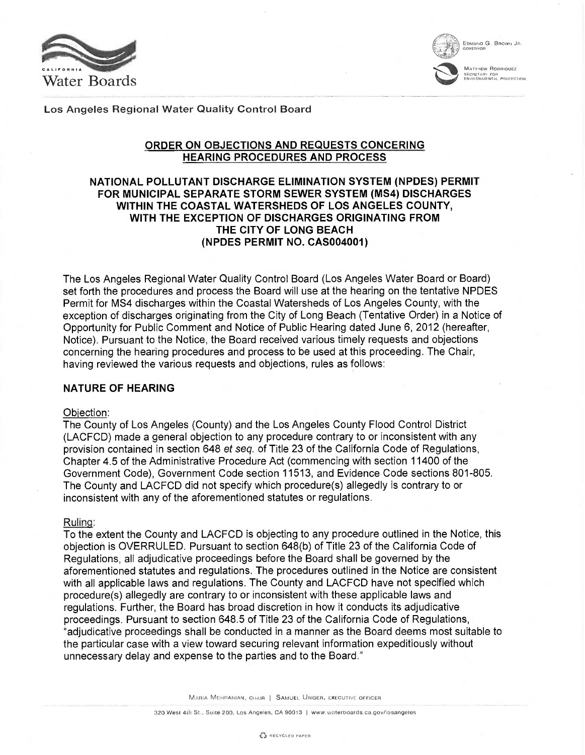



**MATTHEW RODRIOUEZ** EGRETARY FOR<br>NVIRONMENTAL PROTECTION

Los Angeles Regional Water Quality Control Board

## ORDER ON OBJECTIONS AND REQUESTS CONCERING HEARING PROCEDURES AND PROCESS

## NATIONAL POLLUTANT DISCHARGE ELIMINATION SYSTEM (NPDES) PERMIT FOR MUNICIPAL SEPARATE STORM SEWER SYSTEM (MS4) DISCHARGES WITHIN THE COASTAL WATERSHEDS OF LOS ANGELES COUNTY, WITH THE EXCEPTION OF DISCHARGES ORIGINATING FROM THE CITY OF LONG BEACH (NPDES PERMIT NO. CAS004001)

The Los Angeles Regional Water Quality Control Board (Los Angeles Water Board or Board) set forth the procedures and process the Board will use at the hearing on the tentative NPDES Permit for MS4 discharges within the Coastal Watersheds of Los Angeles County, with the exception of discharges originating from the City of Long Beach (Tentative Order) in a Notice of Opportunity for Public Comment and Notice of Public Hearing dated June 6, 2012 (hereafter, Notice). Pursuant to the Notice, the Board received various timely requests and objections concerning the hearing procedures and process to be used at this proceeding. The Chair, having reviewed the various requests and objections, rules as follows:

## NATURE OF HEARING

## Objection:

The County of Los Angeles (County) and the Los Angeles County Flood Control District (LACFCD) made a general objection to any procedure contrary to or inconsistent with any provision contained in section 648 et seq. of Title 23 of the California Code of Regulations, Chapter 4.5 of the Administrative Procedure Act (commencing with section 11400 of the Government Code), Government Code section 11513, and Evidence Code sections 801-805. The County and LACFCD did not specify which procedure(s) allegedly is contrary to or inconsistent with any of the aforementioned statutes or regulations.

## Ruling:

To the extent the County and LACFCD is objecting to any procedure outlined in the Notice, this objection is OVERRULED. Pursuant to section 648(b) of Title 23 of the California Code of Regulations, all adjudicative proceedings before the Board shall be governed by the aforementioned statutes and regulations. The procedures outlined in the Notice are consistent with all applicable laws and regulations. The County and LACFCD have not specified which procedure(s) allegedly are contrary to or inconsistent with these applicable laws and regulations. Further, the Board has broad discretion in how it conducts its adjudicative proceedings. Pursuant to section 648.5 of Title 23 of the California Code of Regulations, "adjudicative proceedings shall be conducted in a manner as the Board deems most suitable to the particular case with a view toward securing relevant information expeditiously without unnecessary delay and expense to the parties and to the Board."

MARIA MEHRANIAN, CHAIR <sup>I</sup> SAMUEL UNGER, EXECUTIVE OFFICER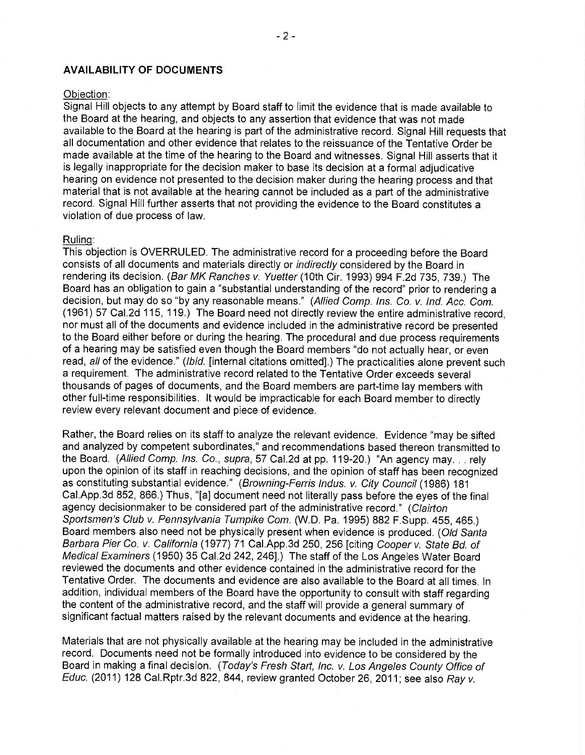### AVAILABILITY OF DOCUMENTS

## Objection:

Signal Hill objects to any attempt by Board staff to limit the evidence that is made available to the Board at the hearing, and objects to any assertion that evidence that was not made available to the Board at the hearing is part of the administrative record. Signal Hill requests that all documentation and other evidence that relates to the reissuance of the Tentative Order be made available at the time of the hearing to the Board and witnesses. Signal Hill asserts that it is legally inappropriate for the decision maker to base its decision at a formal adjudicative hearing on evidence not presented to the decision maker during the hearing process and that material that is not available at the hearing cannot be included as a part of the administrative record. Signal Hill further asserts that not providing the evidence to the Board constitutes a violation of due process of law.

#### Ruling:

This objection is OVERRULED. The administrative record for a proceeding before the Board consists of all documents and materials directly or indirectly considered by the Board in rendering its decision. (Bar MK Ranches v. Yuetter (10th Cir. 1993) 994 F.2d 735, 739.) The Board has an obligation to gain a "substantial understanding of the record" prior to rendering a decision, but may do so "by any reasonable means." (Allied Comp. Ins. Co. v. Ind. Acc. Com. (1961) 57 Cal.2d 115, 119.) The Board need not directly review the entire administrative record, nor must all of the documents and evidence included in the administrative record be presented to the Board either before or during the hearing. The procedural and due process requirements of a hearing may be satisfied even though the Board members "do not actually hear, or even read, all of the evidence." (Ibid. [internal citations omitted].) The practicalities alone prevent such a requirement. The administrative record related to the Tentative Order exceeds several thousands of pages of documents, and the Board members are part-time lay members with other full-time responsibilities. It would be impracticable for each Board member to directly review every relevant document and piece of evidence.

Rather, the Board relies on its staff to analyze the relevant evidence. Evidence "may be sifted and analyzed by competent subordinates," and recommendations based thereon transmitted to the Board. (Allied Comp. Ins. Co., supra, 57 Cal.2d at pp. 119-20.) "An agency may. . . rely upon the opinion of its staff in reaching decisions, and the opinion of staff has been recognized as constituting substantial evidence." (Browning-Ferris Indus. v. City Council (1986) 181 Cal.App.3d 852, 866.) Thus, "[a] document need not literally pass before the eyes of the final agency decisionmaker to be considered part of the administrative record." (Clairton Sportsmen's Club v. Pennsylvania Turnpike Com. (W.D. Pa. 1995) 882 F. Supp. 455, 465.) Board members also need not be physically present when evidence is produced. (Old Santa Barbara Pier Co. v. California (1977) 71 Cal.App.3d 250, 256 [citing Cooper v. State Bd. of Medical Examiners (1950) 35 Cal.2d 242, 246].) The staff of the Los Angeles Water Board reviewed the documents and other evidence contained in the administrative record for the Tentative Order. The documents and evidence are also available to the Board at all times. In addition, individual members of the Board have the opportunity to consult with staff regarding the content of the administrative record, and the staff will provide a general summary of significant factual matters raised by the relevant documents and evidence at the hearing.

Materials that are not physically available at the hearing may be included in the administrative record. Documents need not be formally introduced into evidence to be considered by the Board in making a final decision. (Today's Fresh Start, Inc. v. Los Angeles County Office of Educ. (2011) 128 Cal.Rptr.3d 822, 844, review granted October 26, 2011; see also Ray v.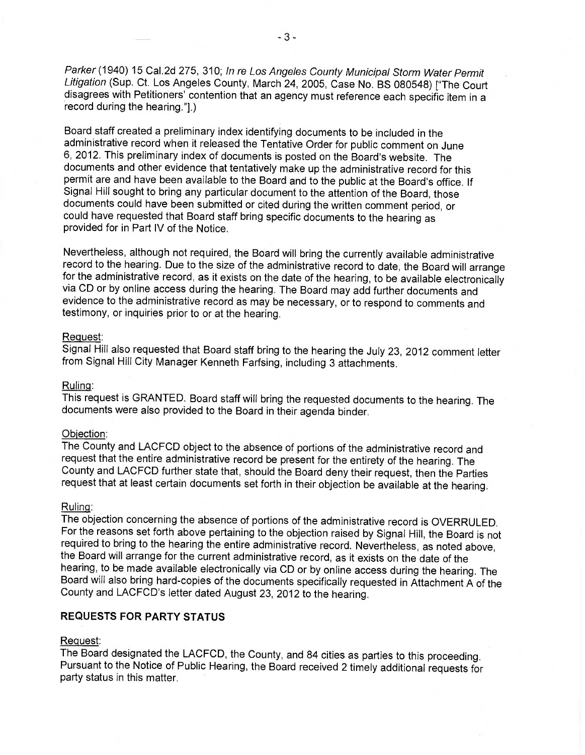Parker (1940) 15 Cal.2d 275, 310; In re Los Angeles County Municipal Storm Water Permit Litigation (Sup. Ct. Los Angeles County, March 24, 2005, Case No. BS 080548) ["The Court disagrees with Petitioners' contention that an agency must reference each specific item in a record during the hearing."].)

Board staff created a preliminary index identifying documents to be included in the administrative record when it released the Tentative Order for public comment on June 6, 2012. This preliminary index of documents is posted on the Board's website. The documents and other evidence that tentatively make up the administrative record for this permit are and have been available to the Board and to the public at the Board's office. If Signal Hill sought to bring any particular document to the attention of the Board, those documents could have been submitted or cited during the written comment period, or could have requested that Board staff bring specific documents to the hearing as provided for in Part IV of the Notice.

Nevertheless, although not required, the Board will bring the currently available administrative record to the hearing. Due to the size of the administrative record to date, the Board will arrange<br>for the administrative record, as it exists on the date of the hearing, to be available electronically via CD or by online access during the hearing. The Board may add further documents and evidence to the administrative record as may be necessary, or to respond to comments and testimony, or inquiries prior to or at the hearing.

### Request:

Signal Hill also requested that Board staff bring to the hearing the July 23, 2012 comment letter from Signal Hill City Manager Kenneth Farfsing, including 3 attachments.

#### Ruling:

This request is GRANTED. Board staff will bring the requested documents to the hearing. The documents were also provided to the Board in their agenda binder.

### Objection:

The County and LACFCD object to the absence of portions of the administrative record and request that the entire administrative record be present for the entirety of the hearing. The County and LACFCD further state that, should the Board deny their request, then the Parties request that at least certain documents set forth in their objection be available at the hearing.

## Ruling:

The objection concerning the absence of portions of the administrative record is OVERRULED. For the reasons set forth above pertaining to the objection raised by Signal Hill, the Board is not required to bring to the hearing the entire administrative record. Nevertheless, as noted above, the Board will arrange for the current administrative record, as it exists on the date of the hearing, to be made available electronically via CD or by online access during the hearing. The Board will also bring hard-copies of the documents specifically requested in Attachment A of the County and LACFCD's letter dated August 23, 2012 to the hearing.

# REQUESTS FOR PARTY STATUS

#### Request:

The Board designated the LACFCD, the County, and 84 cities as parties to this proceeding. Pursuant to the Notice of Public Hearing, the Board received 2 timely additional requests for party status in this matter.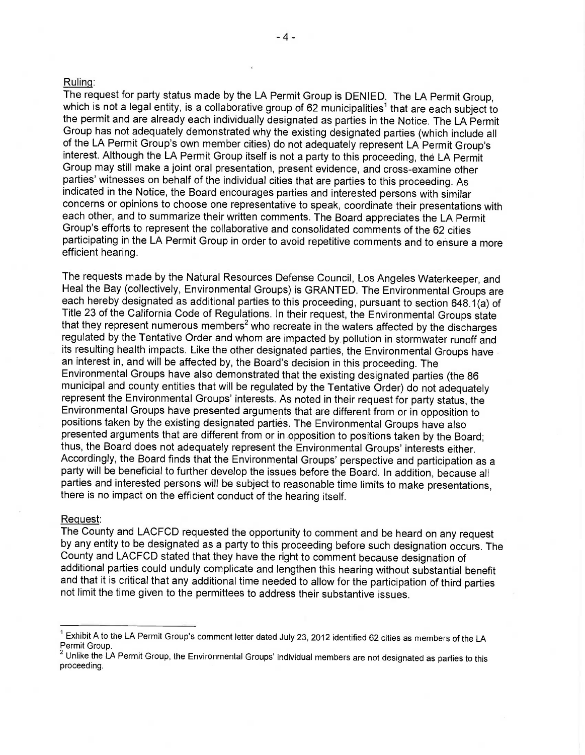### Ruling:

The request for party status made by the LA Permit Group is DENIED. The LA Permit Group, which is not a legal entity, is a collaborative group of 62 municipalities<sup>1</sup> that are each subject to the permit and are already each individually designated as parties in the Notice. The LA Permit Group has not adequately demonstrated why the existing designated parties (which include all of the LA Permit Group's own member cities) do not adequately represent LA Permit Group's interest. Although the LA Permit Group itself is not a party to this proceeding, the LA Permit Group may still make a joint oral presentation, present evidence, and cross-examine other parties' witnesses on behalf of the individual cities that are parties to this proceeding. As indicated in the Notice, the Board encourages parties and interested persons with similar concerns or opinions to choose one representative to speak, coordinate their presentations with each other, and to summarize their written comments. The Board appreciates the LA Permit Group's efforts to represent the collaborative and consolidated comments of the 62 cities participating in the LA Permit Group in order to avoid repetitive comments and to ensure a more efficient hearing.

The requests made by the Natural Resources Defense Council, Los Angeles Waterkeeper, and Heal the Bay (collectively, Environmental Groups) is GRANTED. The Environmental Groups are each hereby designated as additional parties to this proceeding, pursuant to section 648.1(a) of Title 23 of the California Code of Regulations. In their request, the Environmental Groups state that they represent numerous members<sup>2</sup> who recreate in the waters affected by the discharges regulated by the Tentative Order and whom are impacted by pollution in stormwater runoff and its resulting health impacts. Like the other designated parties, the Environmental Groups have an interest in, and will be affected by, the Board's decision in this proceeding. The Environmental Groups have also demonstrated that the existing designated parties (the 86 municipal and county entities that will be regulated by the Tentative Order) do not adequately represent the Environmental Groups' interests. As noted in their request for party status, the Environmental Groups have presented arguments that are different from or in opposition to positions taken by the existing designated parties. The Environmental Groups have also presented arguments that are different from or in opposition to positions taken by the Board; thus, the Board does not adequately represent the Environmental Groups' interests either. Accordingly, the Board finds that the Environmental Groups' perspective and participation as a party will be beneficial to further develop the issues before the Board. In addition, because all parties and interested persons will be subject to reasonable time limits to make presentations, there is no impact on the efficient conduct of the hearing itself.

#### Request:

The County and LACFCD requested the opportunity to comment and be heard on any request by any entity to be designated as a party to this proceeding before such designation occurs. The County and LACFCD stated that they have the right to comment because designation of additional parties could unduly complicate and lengthen this hearing without substantial benefit and that it is critical that any additional time needed to allow for the participation of third parties not limit the time given to the permittees to address their substantive issues.

Exhibit A to the LA Permit Group's comment letter dated July 23, 2012 identified 62 cities as members of the LA Permit Group.

<sup>2</sup> Unlike the LA Permit Group, the Environmental Groups' individual members are not designated as parties to this proceeding.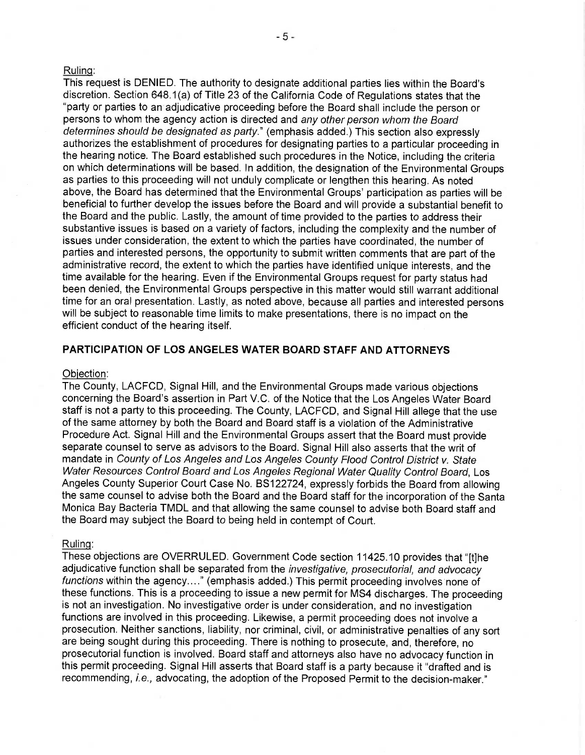### Ruling:

This request is DENIED. The authority to designate additional parties lies within the Board's discretion. Section 648.1(a) of Title 23 of the California Code of Regulations states that the "party or parties to an adjudicative proceeding before the Board shall include the person or persons to whom the agency action is directed and any other person whom the Board determines should be designated as party." (emphasis added.) This section also expressly authorizes the establishment of procedures for designating parties to a particular proceeding in the hearing notice. The Board established such procedures in the Notice, including the criteria on which determinations will be based. In addition, the designation of the Environmental Groups as parties to this proceeding will not unduly complicate or lengthen this hearing. As noted above, the Board has determined that the Environmental Groups' participation as parties will be beneficial to further develop the issues before the Board and will provide a substantial benefit to the Board and the public. Lastly, the amount of time provided to the parties to address their substantive issues is based on a variety of factors, including the complexity and the number of issues under consideration, the extent to which the parties have coordinated, the number of parties and interested persons, the opportunity to submit written comments that are part of the administrative record, the extent to which the parties have identified unique interests, and the time available for the hearing. Even if the Environmental Groups request for party status had been denied, the Environmental Groups perspective in this matter would still warrant additional time for an oral presentation. Lastly, as noted above, because all parties and interested persons will be subject to reasonable time limits to make presentations, there is no impact on the efficient conduct of the hearing itself.

## PARTICIPATION OF LOS ANGELES WATER BOARD STAFF AND ATTORNEYS

### Objection:

The County, LACFCD, Signal Hill, and the Environmental Groups made various objections concerning the Board's assertion in Part V.C. of the Notice that the Los Angeles Water Board staff is not a party to this proceeding. The County, LACFCD, and Signal Hill allege that the use of the same attorney by both the Board and Board staff is a violation of the Administrative Procedure Act. Signal Hill and the Environmental Groups assert that the Board must provide separate counsel to serve as advisors to the Board. Signal Hill also asserts that the writ of mandate in County of Los Angeles and Los Angeles County Flood Control District v. State Water Resources Control Board and Los Angeles Regional Water Quality Control Board, Los Angeles County Superior Court Case No. BS122724, expressly forbids the Board from allowing the same counsel to advise both the Board and the Board staff for the incorporation of the Santa Monica Bay Bacteria TMDL and that allowing the same counsel to advise both Board staff and the Board may subject the Board to being held in contempt of Court.

#### Ruling:

These objections are OVERRULED. Government Code section 11425.10 provides that "[t]he adjudicative function shall be separated from the *investigative, prosecutorial, and advocacy* functions within the agency...." (emphasis added.) This permit proceeding involves none of these functions. This is a proceeding to issue a new permit for MS4 discharges. The proceeding is not an investigation. No investigative order is under consideration, and no investigation functions are involved in this proceeding. Likewise, a permit proceeding does not involve a prosecution. Neither sanctions, liability, nor criminal, civil, or administrative penalties of any sort are being sought during this proceeding. There is nothing to prosecute, and, therefore, no prosecutorial function is involved. Board staff and attorneys also have no advocacy function in this permit proceeding. Signal Hill asserts that Board staff is a party because it "drafted and is recommending, i.e., advocating, the adoption of the Proposed Permit to the decision-maker."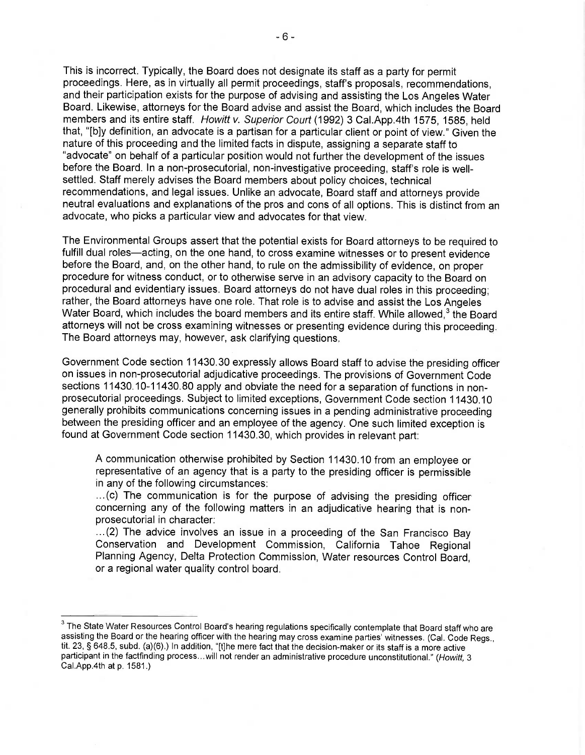This is incorrect. Typically, the Board does not designate its staff as a party for permit proceedings. Here, as in virtually all permit proceedings, staff's proposals, recommendations, and their participation exists for the purpose of advising and assisting the Los Angeles Water Board. Likewise, attorneys for the Board advise and assist the Board, which includes the Board members and its entire staff. Howitt v. Superior Court (1992) 3 Cal.App.4th 1575, 1585, held that, "[b]y definition, an advocate is a partisan for a particular client or point of view." Given the nature of this proceeding and the limited facts in dispute, assigning a separate staff to "advocate" on behalf of a particular position would not further the development of the issues before the Board. In a non-prosecutorial, non-investigative proceeding, staff's role is wellsettled. Staff merely advises the Board members about policy choices, technical recommendations, and legal issues. Unlike an advocate, Board staff and attorneys provide neutral evaluations and explanations of the pros and cons of all options. This is distinct from an advocate, who picks a particular view and advocates for that view.

The Environmental Groups assert that the potential exists for Board attorneys to be required to fulfill dual roles—acting, on the one hand, to cross examine witnesses or to present evidence before the Board, and, on the other hand, to rule on the admissibility of evidence, on proper procedure for witness conduct, or to otherwise serve in an advisory capacity to the Board on procedural and evidentiary issues. Board attorneys do not have dual roles in this proceeding; rather, the Board attorneys have one role. That role is to advise and assist the Los Angeles Water Board, which includes the board members and its entire staff. While allowed,<sup>3</sup> the Board attorneys will not be cross examining witnesses or presenting evidence during this proceeding. The Board attorneys may, however, ask clarifying questions.

Government Code section 11430.30 expressly allows Board staff to advise the presiding officer on issues in non-prosecutorial adjudicative proceedings. The provisions of Government Code sections 11430.10-11430.80 apply and obviate the need for a separation of functions in nonprosecutorial proceedings. Subject to limited exceptions, Government Code section 11430.10 generally prohibits communications concerning issues in a pending administrative proceeding between the presiding officer and an employee of the agency. One such limited exception is found at Government Code section 11430.30, which provides in relevant part:

A communication otherwise prohibited by Section 11430.10 from an employee or representative of an agency that is a party to the presiding officer is permissible in any of the following circumstances:

...(c) The communication is for the purpose of advising the presiding officer concerning any of the following matters in an adjudicative hearing that is nonprosecutorial in character:

...(2) The advice involves an issue in a proceeding of the San Francisco Bay Conservation and Development Commission, California Tahoe Regional Planning Agency, Delta Protection Commission, Water resources Control Board, or a regional water quality control board.

 $3$  The State Water Resources Control Board's hearing regulations specifically contemplate that Board staff who are assisting the Board or the hearing officer with the hearing may cross examine parties' witnesses. (Cal. Code Regs., tit. 23, § 648.5, subd. (a)(6).) In addition, "[t]he mere fact that the decision-maker or its staff is a more active participant in the factfinding process...will not render an administrative procedure unconstitutional." (Howitt, 3 Cal.App.4th at p. 1581.)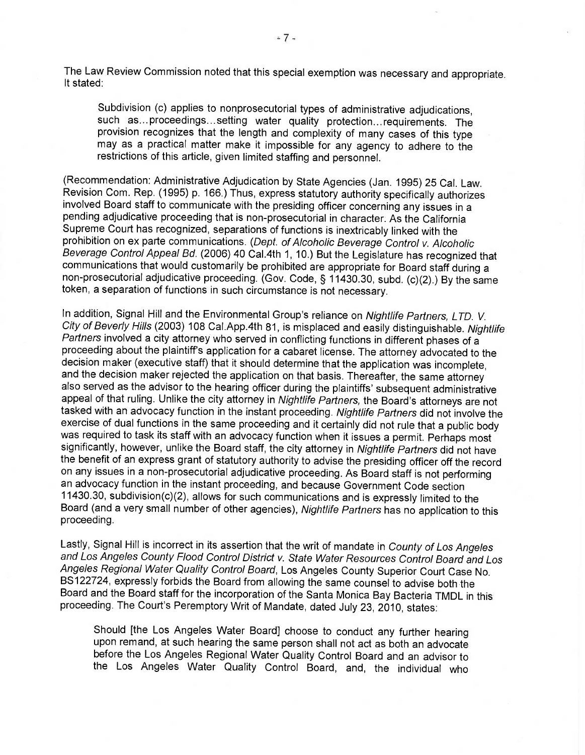The Law Review Commission noted that this special exemption was necessary and appropriate. It stated:

Subdivision (c) applies to nonprosecutorial types of administrative adjudications, such as... proceedings... setting water quality protection... requirements. The provision recognizes that the length and complexity of many cases of this type may as a practical matter make it impossible for any agency to adhere to the restrictions of this article, given limited staffing and personnel.

(Recommendation: Administrative Adjudication by State Agencies (Jan. 1995) 25 Cal. Law. Revision Com. Rep. (1995) p. 166.) Thus, express statutory authority specifically authorizes involved Board staff to communicate with the presiding officer concerning any issues in a pending adjudicative proceeding that is non-prosecutorial in character. As the California Supreme Court has recognized, separations of functions is inextricably linked with the prohibition on ex parte communications. (Dept. of Alcoholic Beverage Control v. Alcoholic Beverage Control Appeal Bd. (2006) 40 Cal.4th 1, 10.) But the Legislature has recognized that communications that would customarily be prohibited are appropriate for Board staff during a non-prosecutorial adjudicative proceeding. (Gov. Code, § 11430.30, subd. (c)(2).) By the same token, a separation of functions in such circumstance is not necessary.

In addition, Signal Hill and the Environmental Group's reliance on Nightlife Partners, LTD. V. City of Beverly Hills (2003) 108 Cal.App.4th 81, is misplaced and easily distinguishable. Nightlife Partners involved a city attorney who served in conflicting functions in different phases of a proceeding about the plaintiff's application for a cabaret license. The attorney advocated to the decision maker (executive staff) that it should determine that the application was incomplete, and the decision maker rejected the application on that basis. Thereafter, the same attorney also served as the advisor to the hearing officer during the plaintiffs' subsequent administrative appeal of that ruling. Unlike the city attorney in Nightlife Partners, the Board's attorneys are not tasked with an advocacy function in the instant proceeding. Nightlife Partners did not involve the exercise of dual functions in the same proceeding and it certainly did not rule that a public body was required to task its staff with an advocacy function when it issues a permit. Perhaps most significantly, however, unlike the Board staff, the city attorney in Nightlife Partners did not have the benefit of an express grant of statutory authority to advise the presiding officer off the record on any issues in a non-prosecutorial adjudicative proceeding. As Board staff is not performing an advocacy function in the instant proceeding, and because Government Code section 11430.30, subdivision(c)(2), allows for such communications and is expressly limited to the Board (and a very small number of other agencies), Nightlife Partners has no application to this proceeding.

Lastly, Signal Hill is incorrect in its assertion that the writ of mandate in County of Los Angeles and Los Angeles County Flood Control District v. State Water Resources Control Board and Los Angeles Regional Water Quality Control Board, Los Angeles County Superior Court Case No. BS122724, expressly forbids the Board from allowing the same counsel to advise both the Board and the Board staff for the incorporation of the Santa Monica Bay Bacteria TMDL in this proceeding. The Court's Peremptory Writ of Mandate, dated July 23, 2010, states:

Should [the Los Angeles Water Board] choose to conduct any further hearing upon remand, at such hearing the same person shall not act as both an advocate before the Los Angeles Regional Water Quality Control Board and an advisor to the Los Angeles Water Quality Control Board, and, the individual who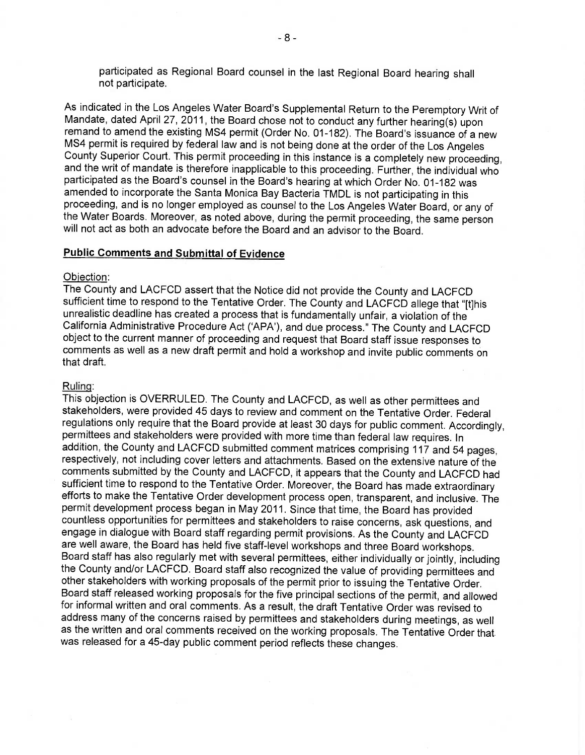participated as Regional Board counsel in the last Regional Board hearing shall not participate.

As indicated in the Los Angeles Water Board's Supplemental Return to the Peremptory Writ of Mandate, dated April 27, 2011, the Board chose not to conduct any further hearing(s) upon remand to amend the existing MS4 permit (Order No. 01-182). The Board's issuance of a new MS4 permit is required by federal law and is not being done at the order of the Los Angeles County Superior Court. This permit proceeding in this instance is a completely new proceeding, and the writ of mandate is therefore inapplicable to this proceeding. Further, the individual who participated as the Board's counsel in the Board's hearing at which Order No. 01-182 was amended to incorporate the Santa Monica Bay Bacteria TMDL is not participating in this proceeding, and is no longer employed as counsel to the Los Angeles Water Board, or any of the Water Boards. Moreover, as noted above, during the permit proceeding, the same person will not act as both an advocate before the Board and an advisor to the Board.

## Public Comments and Submittal of Evidence

### Objection:

The County and LACFCD assert that the Notice did not provide the County and LACFCD sufficient time to respond to the Tentative Order. The County and LACFCD allege that "[t]his unrealistic deadline has created a process that is fundamentally unfair, a violation of the California Administrative Procedure Act (`APA'), and due process." The County and LACFCD object to the current manner of proceeding and request that Board staff issue responses to comments as well as a new draft permit and hold a workshop and invite public comments on that draft.

#### Ruling:

This objection is OVERRULED. The County and LACFCD, as well as other permittees and stakeholders, were provided 45 days to review and comment on the Tentative Order. Federal regulations only require that the Board provide at least 30 days for public comment. Accordingly, permittees and stakeholders were provided with more time than federal law requires. In addition, the County and LACFCD submitted comment matrices comprising 117 and 54 pages, respectively, not including cover letters and attachments. Based on the extensive nature of the comments submitted by the County and LACFCD, it appears that the County and LACFCD had efforts to make the Tentative Order development process open, transparent, and inclusive. The permit development process began in May 2011. Since that time, the Board has provided countless opportunities for permittees and stakeholders to raise concerns, ask questions, and engage in dialogue with Board staff regarding permit provisions. As the County and LACFCD are well aware, the Board has held five staff-level workshops and three Board workshops. Board staff has also regularly met with several permittees, either individually or jointly, including the County and/or LACFCD. Board staff also recognized the value of providing permittees and other stakeholders with working proposals of the permit prior to issuing the Tentative Order. Board staff released working proposals for the five principal sections of the permit, and allowed for informal written and oral comments. As a result, the draft Tentative Order was revised to address many of the concerns raised by permittees and stakeholders during meetings, as well as the written and oral comments received on the working proposals. The Tentative Order that was released for a 45-day public comment period reflects these changes.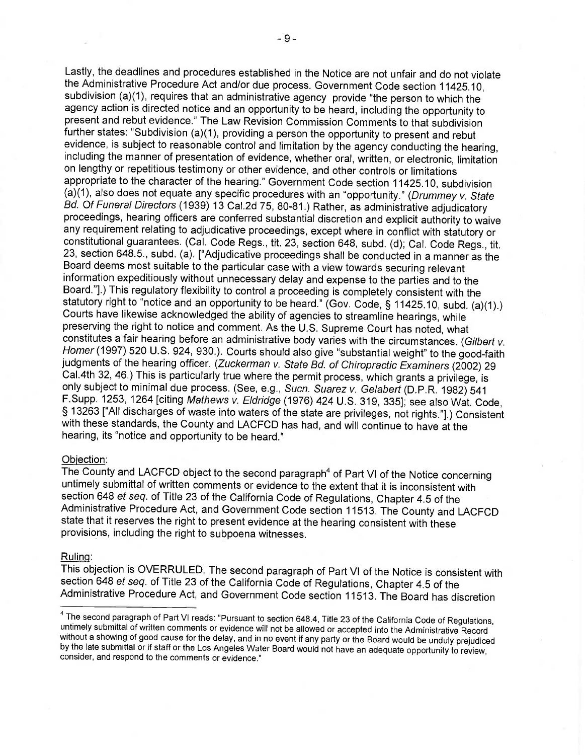Lastly, the deadlines and procedures established in the Notice are not unfair and do not violate the Administrative Procedure Act and/or due process. Government Code section 11425.10, subdivision (a)(1), requires that an administrative agency provide "the person to which the agency action is directed notice and an opportunity to be heard, including the opportunity to present and rebut evidence." The Law Revision Commission Comments to that subdivision further states: "Subdivision (a)(1), providing a person the opportunity to present and rebut evidence, is subject to reasonable control and limitation by the agency conducting the hearing, including the manner of presentation of evidence, whether oral, written, or electronic, limitation on lengthy or repetitious testimony or other evidence, and other controls or limitations appropriate to the character of the hearing." Government Code section 11425.10, subdivision (a)(1), also does not equate any specific procedures with an "opportunity." (Drummey v. State Bd. Of Funeral Directors (1939) 13 Cal.2d 75, 80-81.) Rather, as administrative adjudicatory proceedings, hearing officers are conferred substantial discretion and explicit authority to waive any requirement relating to adjudicative proceedings, except where in conflict with statutory or<br>constitutional guarantees. (Cal. Code Regs., tit. 23, section 648, subd. (d); Cal. Code Regs., tit. 23, section 648.5., subd. (a). ["Adjudicative proceedings shall be conducted in a manner as the Board deems most suitable to the particular case with a view towards securing relevant information expeditiously without unnecessary delay and expense to the parties and to the Board."].) This regulatory flexibility to control a proceeding is completely consistent with the statutory right to "notice and an opportunity to be heard." (Gov. Code, § 11425.10, subd. (a)(1).) Courts have likewise acknowledged the ability of agencies to streamline hearings, while preserving the right to notice and comment. As the U.S. Supreme Court has noted, what constitutes a fair hearing before an administrative body varies with the circumstances. (Gilbert v. Homer (1997) 520 U.S. 924, 930.). Courts should also give "substantial weight" to the good-faith judgments of the hearing officer. (Zuckerman v. State Bd. of Chiropractic Examiners (2002) 29 Cal. 4th 32, 46.) This is particularly true where the permit process, which grants a privilege, is only subject to minimal due process. (See, e.g., Sucn. Suarez v. Gelabert (D.P.R. 1982) 541 F.Supp. 1253, 1264 [citing Mathews v. Eldridge (1976) 424 U.S. 319, 335]; see also Wat. Code, § 13263 ["All discharges of waste into waters of the state are privileges, not rights."].) Consistent with these standards, the County and LACFCD has had, and will continue to have at the hearing, its "notice and opportunity to be heard."

## Objection:

The County and LACFCD object to the second paragraph<sup>4</sup> of Part VI of the Notice concerning untimely submittal of written comments or evidence to the extent that it is inconsistent with section 648 et seq. of Title 23 of the California Code of Regulations, Chapter 4.5 of the Administrative Procedure Act, and Government Code section 11513. The County and LACFCD state that it reserves the right to present evidence at the hearing consistent with these provisions, including the right to subpoena witnesses.

#### Ruling:

This objection is OVERRULED. The second paragraph of Part VI of the Notice is consistent with section 648 et seq. of Title 23 of the California Code of Regulations, Chapter 4.5 of the Administrative Procedure Act, and Government Code section 11513. The Board has discretion

<sup>&</sup>lt;sup>4</sup> The second paragraph of Part VI reads: "Pursuant to section 648.4, Title 23 of the California Code of Regulations,<br>untimely submittal of written comments or evidence will not be allowed or accepted into the Administrat without a showing of good cause for the delay, and in no event if any party or the Board would be unduly prejudiced by the late submittal or if staff or the Los Angeles Water Board would not have an adequate opportunity to review, consider, and respond to the comments or evidence."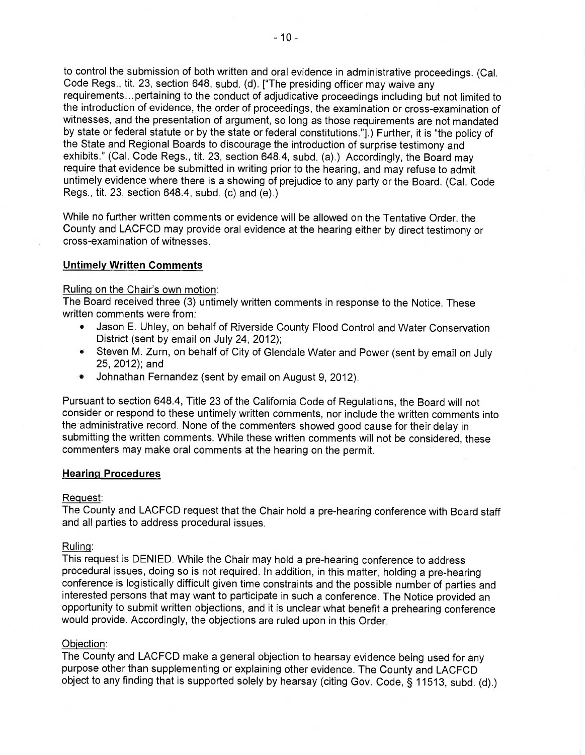to control the submission of both written and oral evidence in administrative proceedings. (Cal. Code Regs., tit. 23, section 648, subd. (d). [ "The presiding officer may waive any requirements... pertaining to the conduct of adjudicative proceedings including but not limited to the introduction of evidence, the order of proceedings, the examination or cross-examination of witnesses, and the presentation of argument, so long as those requirements are not mandated by state or federal statute or by the state or federal constitutions."].) Further, it is "the policy of the State and Regional Boards to discourage the introduction of surprise testimony and exhibits." (Cal. Code Regs., tit. 23, section 648.4, subd. (a).) Accordingly, the Board may require that evidence be submitted in writing prior to the hearing, and may refuse to admit untimely evidence where there is a showing of prejudice to any party or the Board. (Cal. Code Regs., tit. 23, section 648.4, subd. (c) and (e).)

While no further written comments or evidence will be allowed on the Tentative Order, the County and LACFCD may provide oral evidence at the hearing either by direct testimony or cross-examination of witnesses.

## Untimely Written Comments

## Ruling on the Chair's own motion:

The Board received three (3) untimely written comments in response to the Notice. These written comments were from:

- Jason E. Uhley, on behalf of Riverside County Flood Control and Water Conservation District (sent by email on July 24, 2012);
- Steven M. Zurn, on behalf of City of Glendale Water and Power (sent by email on July 25, 2012); and
- Johnathan Fernandez (sent by email on August 9, 2012).

Pursuant to section 648.4, Title 23 of the California Code of Regulations, the Board will not consider or respond to these untimely written comments, nor include the written comments into the administrative record. None of the commenters showed good cause for their delay in submitting the written comments. While these written comments will not be considered, these commenters may make oral comments at the hearing on the permit.

## Hearing Procedures

## Request:

The County and LACFCD request that the Chair hold a pre-hearing conference with Board staff and all parties to address procedural issues.

## Ruling:

This request is DENIED. While the Chair may hold a pre-hearing conference to address procedural issues, doing so is not required. In addition, in this matter, holding a pre-hearing conference is logistically difficult given time constraints and the possible number of parties and interested persons that may want to participate in such a conference. The Notice provided an opportunity to submit written objections, and it is unclear what benefit a prehearing conference would provide. Accordingly, the objections are ruled upon in this Order.

## Objection:

The County and LACFCD make a general objection to hearsay evidence being used for any purpose other than supplementing or explaining other evidence. The County and LACFCD object to any finding that is supported solely by hearsay (citing Gov. Code, § 11513, subd. (d).)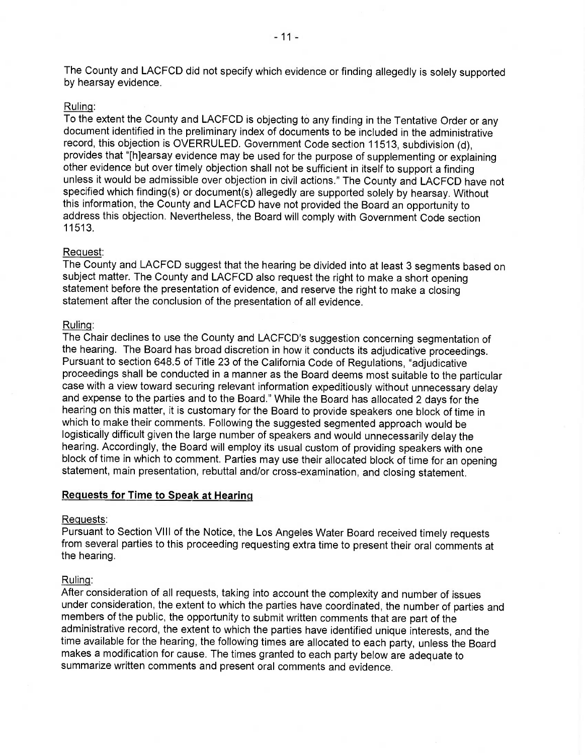The County and LACFCD did not specify which evidence or finding allegedly is solely supported by hearsay evidence.

## Ruling:

To the extent the County and LACFCD is objecting to any finding in the Tentative Order or any document identified in the preliminary index of documents to be included in the administrative record, this objection is OVERRULED. Government Code section 11513, subdivision (d), provides that "[h]earsay evidence may be used for the purpose of supplementing or explaining other evidence but over timely objection shall not be sufficient in itself to support a finding unless it would be admissible over objection in civil actions." The County and LACFCD have not specified which finding(s) or document(s) allegedly are supported solely by hearsay. Without this information, the County and LACFCD have not provided the Board an opportunity to address this objection. Nevertheless, the Board will comply with Government Code section 11513.

### Request:

The County and LACFCD suggest that the hearing be divided into at least 3 segments based on subject matter. The County and LACFCD also request the right to make a short opening statement before the presentation of evidence, and reserve the right to make a closing statement after the conclusion of the presentation of all evidence.

#### Ruling:

The Chair declines to use the County and LACFCD's suggestion concerning segmentation of the hearing. The Board has broad discretion in how it conducts its adjudicative proceedings. Pursuant to section 648.5 of Title 23 of the California Code of Regulations, "adjudicative proceedings shall be conducted in a manner as the Board deems most suitable to the particular case with a view toward securing relevant information expeditiously without unnecessary delay and expense to the parties and to the Board." While the Board has allocated 2 days for the hearing on this matter, it is customary for the Board to provide speakers one block of time in which to make their comments. Following the suggested segmented approach would be logistically difficult given the large number of speakers and would unnecessarily delay the hearing. Accordingly, the Board will employ its usual custom of providing speakers with one block of time in which to comment. Parties may use their allocated block of time for an opening statement, main presentation, rebuttal and/or cross-examination, and closing statement.

## Requests for Time to Speak at Hearin

#### Requests:

Pursuant to Section VIII of the Notice, the Los Angeles Water Board received timely requests from several parties to this proceeding requesting extra time to present their oral comments at the hearing.

### Ruling:

After consideration of all requests, taking into account the complexity and number of issues under consideration, the extent to which the parties have coordinated, the number of parties and members of the public, the opportunity to submit written comments that are part of the administrative record, the extent to which the parties have identified unique interests, and the time available for the hearing, the following times are allocated to each party, unless the Board makes a modification for cause. The times granted to each party below are adequate to summarize written comments and present oral comments and evidence.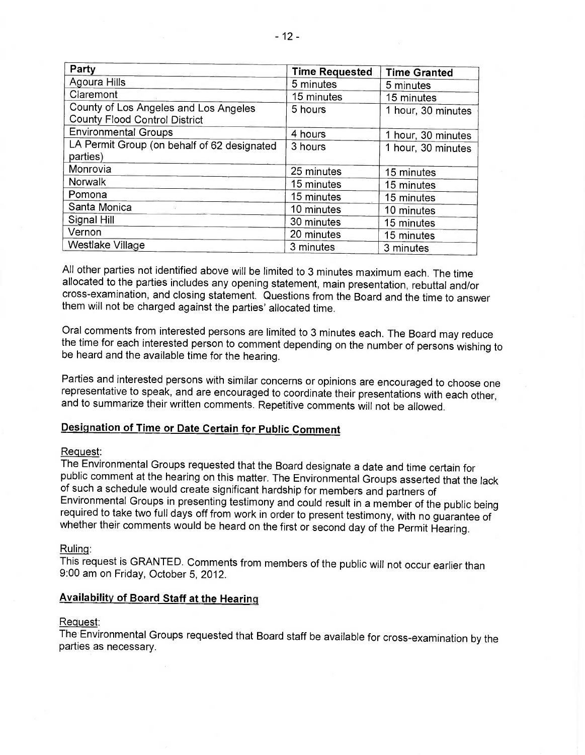| Party                                                                         | <b>Time Requested</b> | <b>Time Granted</b> |
|-------------------------------------------------------------------------------|-----------------------|---------------------|
| Agoura Hills                                                                  | 5 minutes             | 5 minutes           |
| Claremont                                                                     | 15 minutes            | 15 minutes          |
| County of Los Angeles and Los Angeles<br><b>County Flood Control District</b> | 5 hours               | 1 hour, 30 minutes  |
| <b>Environmental Groups</b>                                                   | 4 hours               | 1 hour, 30 minutes  |
| LA Permit Group (on behalf of 62 designated<br>parties)                       | 3 hours               | 1 hour, 30 minutes  |
| Monrovia                                                                      | 25 minutes            | 15 minutes          |
| <b>Norwalk</b>                                                                | 15 minutes            | 15 minutes          |
| Pomona                                                                        | 15 minutes            | 15 minutes          |
| Santa Monica                                                                  | 10 minutes            | 10 minutes          |
| Signal Hill                                                                   | 30 minutes            | 15 minutes          |
| Vernon                                                                        | 20 minutes            | 15 minutes          |
| Westlake Village                                                              | 3 minutes             | 3 minutes           |

All other parties not identified above will be limited to 3 minutes maximum each. The time allocated to the parties includes any opening statement, main presentation, rebuttal and/or cross-examination, and closing statement. Questions from the Board and the time to answer them will not be charged against the parties' allocated time.

Oral comments from interested persons are limited to 3 minutes each. The Board may reduce the time for each interested person to comment depending on the number of persons wishing to be heard and the available time for the hearing.

Parties and interested persons with similar concerns or opinions are encouraged to choose one representative to speak, and are encouraged to coordinate their presentations with each other, and to summarize their written comments. Repetitive comments will not be allowed.

## Designation of Time or Date Certain for Public Comment

## Request:

The Environmental Groups requested that the Board designate a date and time certain for<br>public comment at the hearing on this matter. The Environmental Groups asserted that the lack of such a schedule would create significant hardship for members and partners of Environmental Groups in presenting testimony and could result in a member of the public being required to take two full days off from work in order to present testimony, with no guarantee of whether their comments would be heard on the first or second day of the Permit Hearing.

Ruling:

This request is GRANTED. Comments from members of the public will not occur earlier than 9:00 am on Friday, October 5, 2012.

### Availability of Board Staff at the Hearing

#### Request:

The Environmental Groups requested that Board staff be available for cross-examination by the parties as necessary.